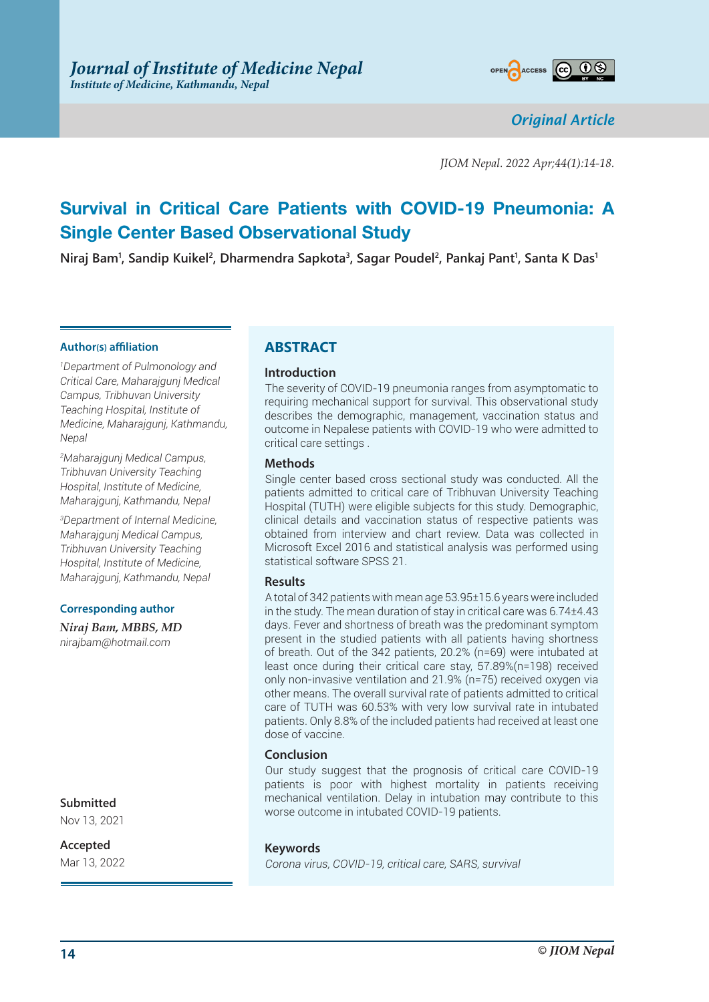

*Original Article*

*JIOM Nepal. 2022 Apr;44(1):14-18.*

# **Survival in Critical Care Patients with COVID-19 Pneumonia: A Single Center Based Observational Study**

**Niraj Bam1 , Sandip Kuikel2 , Dharmendra Sapkota3 , Sagar Poudel2 , Pankaj Pant1 , Santa K Das1**

#### **Author(s) affiliation**

*1 Department of Pulmonology and Critical Care, Maharajgunj Medical Campus, Tribhuvan University Teaching Hospital, Institute of Medicine, Maharajgunj, Kathmandu, Nepal*

*2 Maharajgunj Medical Campus, Tribhuvan University Teaching Hospital, Institute of Medicine, Maharajgunj, Kathmandu, Nepal*

*3 Department of Internal Medicine, Maharajgunj Medical Campus, Tribhuvan University Teaching Hospital, Institute of Medicine, Maharajgunj, Kathmandu, Nepal*

#### **Corresponding author**

*Niraj Bam, MBBS, MD nirajbam@hotmail.com*

**Submitted**

Nov 13, 2021

#### **Accepted**

Mar 13, 2022

## **ABSTRACT**

#### **Introduction**

The severity of COVID-19 pneumonia ranges from asymptomatic to requiring mechanical support for survival. This observational study describes the demographic, management, vaccination status and outcome in Nepalese patients with COVID-19 who were admitted to critical care settings .

#### **Methods**

Single center based cross sectional study was conducted. All the patients admitted to critical care of Tribhuvan University Teaching Hospital (TUTH) were eligible subjects for this study. Demographic, clinical details and vaccination status of respective patients was obtained from interview and chart review. Data was collected in Microsoft Excel 2016 and statistical analysis was performed using statistical software SPSS 21.

#### **Results**

A total of 342 patients with mean age 53.95±15.6 years were included in the study. The mean duration of stay in critical care was 6.74±4.43 days. Fever and shortness of breath was the predominant symptom present in the studied patients with all patients having shortness of breath. Out of the 342 patients, 20.2% (n=69) were intubated at least once during their critical care stay, 57.89%(n=198) received only non-invasive ventilation and 21.9% (n=75) received oxygen via other means. The overall survival rate of patients admitted to critical care of TUTH was 60.53% with very low survival rate in intubated patients. Only 8.8% of the included patients had received at least one dose of vaccine.

#### **Conclusion**

Our study suggest that the prognosis of critical care COVID-19 patients is poor with highest mortality in patients receiving mechanical ventilation. Delay in intubation may contribute to this worse outcome in intubated COVID-19 patients.

#### **Keywords**

*Corona virus, COVID-19, critical care, SARS, survival*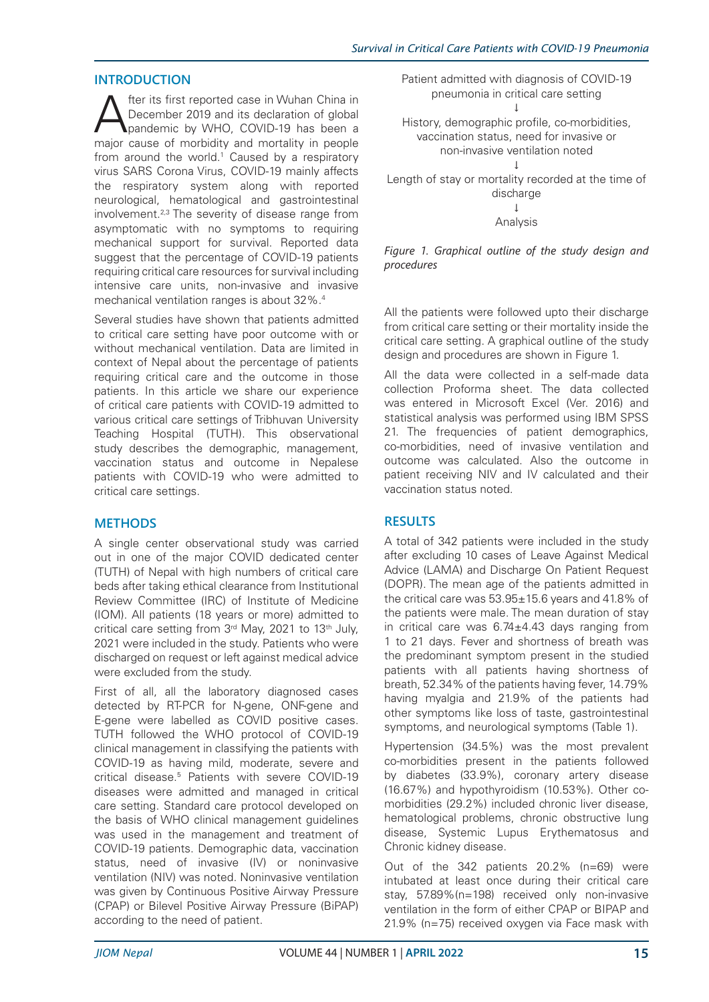## **INTRODUCTION**

After its first reported case in Wuhan China in<br>
pandemic by WHO, COVID-19 has been a<br>
panier cause of merbidity and mertality in people December 2019 and its declaration of global major cause of morbidity and mortality in people from around the world.<sup>1</sup> Caused by a respiratory virus SARS Corona Virus, COVID-19 mainly affects the respiratory system along with reported neurological, hematological and gastrointestinal involvement.2,3 The severity of disease range from asymptomatic with no symptoms to requiring mechanical support for survival. Reported data suggest that the percentage of COVID-19 patients requiring critical care resources for survival including intensive care units, non-invasive and invasive mechanical ventilation ranges is about 32%.4

Several studies have shown that patients admitted to critical care setting have poor outcome with or without mechanical ventilation. Data are limited in context of Nepal about the percentage of patients requiring critical care and the outcome in those patients. In this article we share our experience of critical care patients with COVID-19 admitted to various critical care settings of Tribhuvan University Teaching Hospital (TUTH). This observational study describes the demographic, management, vaccination status and outcome in Nepalese patients with COVID-19 who were admitted to critical care settings.

## **METHODS**

A single center observational study was carried out in one of the major COVID dedicated center (TUTH) of Nepal with high numbers of critical care beds after taking ethical clearance from Institutional Review Committee (IRC) of Institute of Medicine (IOM). All patients (18 years or more) admitted to critical care setting from 3rd May, 2021 to 13th July, 2021 were included in the study. Patients who were discharged on request or left against medical advice were excluded from the study.

First of all, all the laboratory diagnosed cases detected by RT-PCR for N-gene, ONF-gene and E-gene were labelled as COVID positive cases. TUTH followed the WHO protocol of COVID-19 clinical management in classifying the patients with COVID-19 as having mild, moderate, severe and critical disease.5 Patients with severe COVID-19 diseases were admitted and managed in critical care setting. Standard care protocol developed on the basis of WHO clinical management guidelines was used in the management and treatment of COVID-19 patients. Demographic data, vaccination status, need of invasive (IV) or noninvasive ventilation (NIV) was noted. Noninvasive ventilation was given by Continuous Positive Airway Pressure (CPAP) or Bilevel Positive Airway Pressure (BiPAP) according to the need of patient.

Patient admitted with diagnosis of COVID-19 pneumonia in critical care setting ↓

History, demographic profile, co-morbidities, vaccination status, need for invasive or non-invasive ventilation noted ↓ Length of stay or mortality recorded at the time of discharge

> ↓ Analysis

*Figure 1. Graphical outline of the study design and procedures*

All the patients were followed upto their discharge from critical care setting or their mortality inside the critical care setting. A graphical outline of the study design and procedures are shown in Figure 1.

All the data were collected in a self-made data collection Proforma sheet. The data collected was entered in Microsoft Excel (Ver. 2016) and statistical analysis was performed using IBM SPSS 21. The frequencies of patient demographics, co-morbidities, need of invasive ventilation and outcome was calculated. Also the outcome in patient receiving NIV and IV calculated and their vaccination status noted.

## **RESULTS**

A total of 342 patients were included in the study after excluding 10 cases of Leave Against Medical Advice (LAMA) and Discharge On Patient Request (DOPR). The mean age of the patients admitted in the critical care was 53.95±15.6 years and 41.8% of the patients were male. The mean duration of stay in critical care was 6.74±4.43 days ranging from 1 to 21 days. Fever and shortness of breath was the predominant symptom present in the studied patients with all patients having shortness of breath, 52.34% of the patients having fever, 14.79% having myalgia and 21.9% of the patients had other symptoms like loss of taste, gastrointestinal symptoms, and neurological symptoms (Table 1).

Hypertension (34.5%) was the most prevalent co-morbidities present in the patients followed by diabetes (33.9%), coronary artery disease (16.67%) and hypothyroidism (10.53%). Other comorbidities (29.2%) included chronic liver disease, hematological problems, chronic obstructive lung disease, Systemic Lupus Erythematosus and Chronic kidney disease.

Out of the 342 patients 20.2% (n=69) were intubated at least once during their critical care stay, 57.89%(n=198) received only non-invasive ventilation in the form of either CPAP or BIPAP and 21.9% (n=75) received oxygen via Face mask with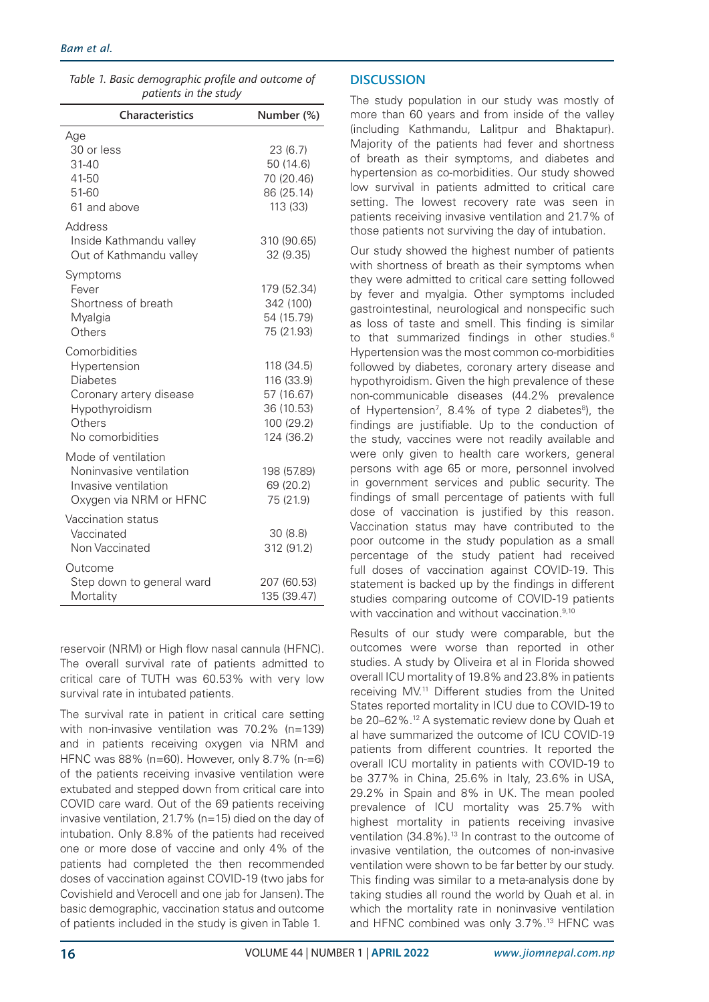| Table 1. Basic demographic profile and outcome of |  |
|---------------------------------------------------|--|
| patients in the study                             |  |

| <b>Characteristics</b>                                                                                                      | Number (%)                                                                       |
|-----------------------------------------------------------------------------------------------------------------------------|----------------------------------------------------------------------------------|
| Age<br>30 or less<br>31-40<br>41-50<br>51-60<br>61 and above                                                                | 23 (6.7)<br>50 (14.6)<br>70 (20.46)<br>86 (25.14)<br>113 (33)                    |
| Address<br>Inside Kathmandu valley<br>Out of Kathmandu valley                                                               | 310 (90.65)<br>32 (9.35)                                                         |
| Symptoms<br>Fever<br>Shortness of breath<br>Myalgia<br>Others                                                               | 179 (52.34)<br>342 (100)<br>54 (15.79)<br>75 (21.93)                             |
| Comorbidities<br>Hypertension<br><b>Diabetes</b><br>Coronary artery disease<br>Hypothyroidism<br>Others<br>No comorbidities | 118 (34.5)<br>116 (33.9)<br>57 (16.67)<br>36 (10.53)<br>100 (29.2)<br>124 (36.2) |
| Mode of ventilation<br>Noninvasive ventilation<br>Invasive ventilation<br>Oxygen via NRM or HFNC                            | 198 (57.89)<br>69 (20.2)<br>75 (21.9)                                            |
| Vaccination status<br>Vaccinated<br>Non Vaccinated                                                                          | 30(8.8)<br>312 (91.2)                                                            |
| Outcome<br>Step down to general ward<br>Mortality                                                                           | 207 (60.53)<br>135 (39.47)                                                       |

reservoir (NRM) or High flow nasal cannula (HFNC). The overall survival rate of patients admitted to critical care of TUTH was 60.53% with very low survival rate in intubated patients.

The survival rate in patient in critical care setting with non-invasive ventilation was 70.2% (n=139) and in patients receiving oxygen via NRM and HFNC was 88% (n=60). However, only 8.7% (n-=6) of the patients receiving invasive ventilation were extubated and stepped down from critical care into COVID care ward. Out of the 69 patients receiving invasive ventilation, 21.7% (n=15) died on the day of intubation. Only 8.8% of the patients had received one or more dose of vaccine and only 4% of the patients had completed the then recommended doses of vaccination against COVID-19 (two jabs for Covishield and Verocell and one jab for Jansen). The basic demographic, vaccination status and outcome of patients included in the study is given in Table 1.

# **DISCUSSION**

The study population in our study was mostly of more than 60 years and from inside of the valley (including Kathmandu, Lalitpur and Bhaktapur). Majority of the patients had fever and shortness of breath as their symptoms, and diabetes and hypertension as co-morbidities. Our study showed low survival in patients admitted to critical care setting. The lowest recovery rate was seen in patients receiving invasive ventilation and 21.7% of those patients not surviving the day of intubation.

Our study showed the highest number of patients with shortness of breath as their symptoms when they were admitted to critical care setting followed by fever and myalgia. Other symptoms included gastrointestinal, neurological and nonspecific such as loss of taste and smell. This finding is similar to that summarized findings in other studies.<sup>6</sup> Hypertension was the most common co-morbidities followed by diabetes, coronary artery disease and hypothyroidism. Given the high prevalence of these non-communicable diseases (44.2% prevalence of Hypertension<sup>7</sup>, 8.4% of type 2 diabetes<sup>8</sup>), the findings are justifiable. Up to the conduction of the study, vaccines were not readily available and were only given to health care workers, general persons with age 65 or more, personnel involved in government services and public security. The findings of small percentage of patients with full dose of vaccination is justified by this reason. Vaccination status may have contributed to the poor outcome in the study population as a small percentage of the study patient had received full doses of vaccination against COVID-19. This statement is backed up by the findings in different studies comparing outcome of COVID-19 patients with vaccination and without vaccination.<sup>9,10</sup>

Results of our study were comparable, but the outcomes were worse than reported in other studies. A study by Oliveira et al in Florida showed overall ICU mortality of 19.8% and 23.8% in patients receiving MV.11 Different studies from the United States reported mortality in ICU due to COVID-19 to be 20–62%.<sup>12</sup> A systematic review done by Quah et al have summarized the outcome of ICU COVID-19 patients from different countries. It reported the overall ICU mortality in patients with COVID-19 to be 37.7% in China, 25.6% in Italy, 23.6% in USA, 29.2% in Spain and 8% in UK. The mean pooled prevalence of ICU mortality was 25.7% with highest mortality in patients receiving invasive ventilation (34.8%).<sup>13</sup> In contrast to the outcome of invasive ventilation, the outcomes of non-invasive ventilation were shown to be far better by our study. This finding was similar to a meta-analysis done by taking studies all round the world by Quah et al. in which the mortality rate in noninvasive ventilation and HFNC combined was only 3.7%.13 HFNC was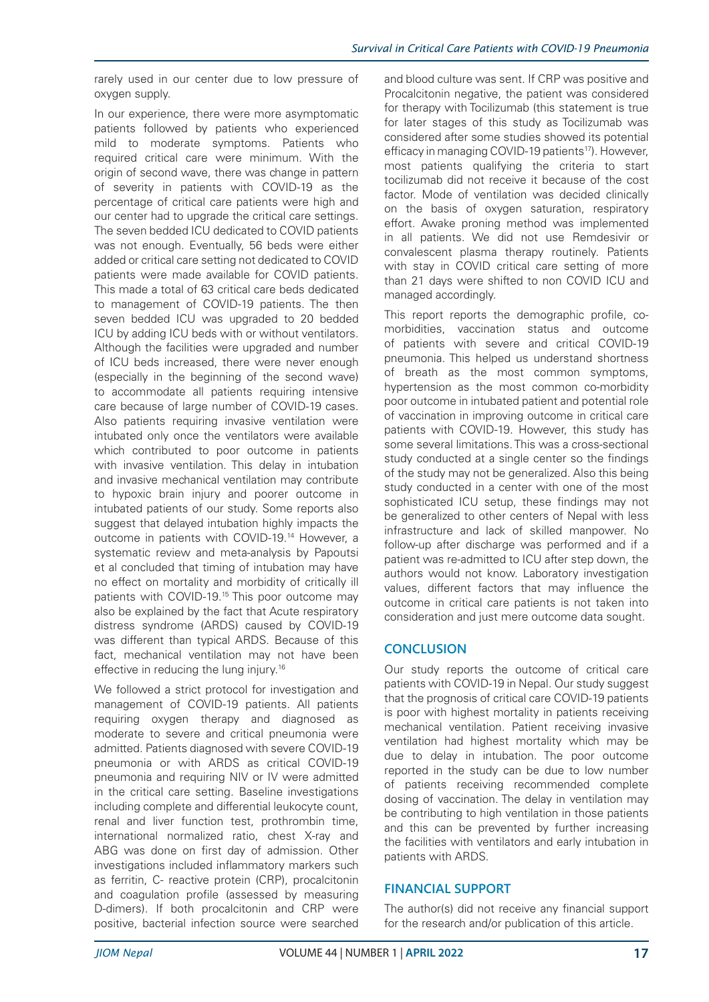rarely used in our center due to low pressure of oxygen supply.

In our experience, there were more asymptomatic patients followed by patients who experienced mild to moderate symptoms. Patients who required critical care were minimum. With the origin of second wave, there was change in pattern of severity in patients with COVID-19 as the percentage of critical care patients were high and our center had to upgrade the critical care settings. The seven bedded ICU dedicated to COVID patients was not enough. Eventually, 56 beds were either added or critical care setting not dedicated to COVID patients were made available for COVID patients. This made a total of 63 critical care beds dedicated to management of COVID-19 patients. The then seven bedded ICU was upgraded to 20 bedded ICU by adding ICU beds with or without ventilators. Although the facilities were upgraded and number of ICU beds increased, there were never enough (especially in the beginning of the second wave) to accommodate all patients requiring intensive care because of large number of COVID-19 cases. Also patients requiring invasive ventilation were intubated only once the ventilators were available which contributed to poor outcome in patients with invasive ventilation. This delay in intubation and invasive mechanical ventilation may contribute to hypoxic brain injury and poorer outcome in intubated patients of our study. Some reports also suggest that delayed intubation highly impacts the outcome in patients with COVID-19.14 However, a systematic review and meta-analysis by Papoutsi et al concluded that timing of intubation may have no effect on mortality and morbidity of critically ill patients with COVID-19.15 This poor outcome may also be explained by the fact that Acute respiratory distress syndrome (ARDS) caused by COVID-19 was different than typical ARDS. Because of this fact, mechanical ventilation may not have been effective in reducing the lung injury.16

We followed a strict protocol for investigation and management of COVID-19 patients. All patients requiring oxygen therapy and diagnosed as moderate to severe and critical pneumonia were admitted. Patients diagnosed with severe COVID-19 pneumonia or with ARDS as critical COVID-19 pneumonia and requiring NIV or IV were admitted in the critical care setting. Baseline investigations including complete and differential leukocyte count, renal and liver function test, prothrombin time, international normalized ratio, chest X-ray and ABG was done on first day of admission. Other investigations included inflammatory markers such as ferritin, C- reactive protein (CRP), procalcitonin and coagulation profile (assessed by measuring D-dimers). If both procalcitonin and CRP were positive, bacterial infection source were searched

and blood culture was sent. If CRP was positive and Procalcitonin negative, the patient was considered for therapy with Tocilizumab (this statement is true for later stages of this study as Tocilizumab was considered after some studies showed its potential efficacy in managing COVID-19 patients<sup>17</sup>). However, most patients qualifying the criteria to start tocilizumab did not receive it because of the cost factor. Mode of ventilation was decided clinically on the basis of oxygen saturation, respiratory effort. Awake proning method was implemented in all patients. We did not use Remdesivir or convalescent plasma therapy routinely. Patients with stay in COVID critical care setting of more than 21 days were shifted to non COVID ICU and managed accordingly.

This report reports the demographic profile, comorbidities, vaccination status and outcome of patients with severe and critical COVID-19 pneumonia. This helped us understand shortness of breath as the most common symptoms, hypertension as the most common co-morbidity poor outcome in intubated patient and potential role of vaccination in improving outcome in critical care patients with COVID-19. However, this study has some several limitations. This was a cross-sectional study conducted at a single center so the findings of the study may not be generalized. Also this being study conducted in a center with one of the most sophisticated ICU setup, these findings may not be generalized to other centers of Nepal with less infrastructure and lack of skilled manpower. No follow-up after discharge was performed and if a patient was re-admitted to ICU after step down, the authors would not know. Laboratory investigation values, different factors that may influence the outcome in critical care patients is not taken into consideration and just mere outcome data sought.

## **CONCLUSION**

Our study reports the outcome of critical care patients with COVID-19 in Nepal. Our study suggest that the prognosis of critical care COVID-19 patients is poor with highest mortality in patients receiving mechanical ventilation. Patient receiving invasive ventilation had highest mortality which may be due to delay in intubation. The poor outcome reported in the study can be due to low number of patients receiving recommended complete dosing of vaccination. The delay in ventilation may be contributing to high ventilation in those patients and this can be prevented by further increasing the facilities with ventilators and early intubation in patients with ARDS.

## **FINANCIAL SUPPORT**

The author(s) did not receive any financial support for the research and/or publication of this article.